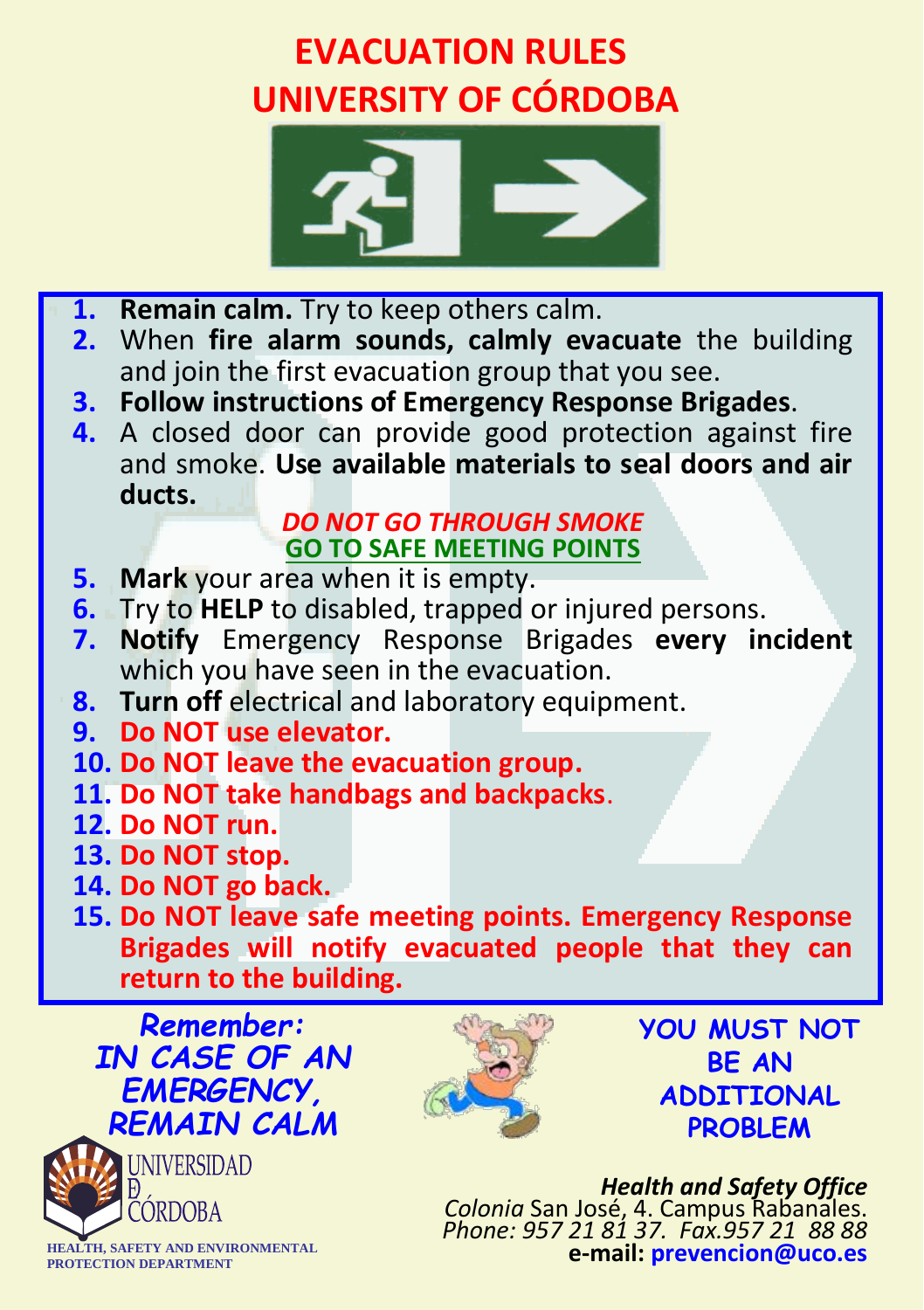## **EVACUATION RULES UNIVERSITY OF CÓRDOBA**



- **1. Remain calm.** Try to keep others calm.<br>**2.** When fire alarm sounds, calmly eva
- **2.** When **fire alarm sounds, calmly evacuate** the building and join the first evacuation group that you see.<br>**3. Follow instructions of Emergency Response Brigades.**
- 
- **4.** A closed door can provide good protection against fire and smoke. **Use available materials to seal doors and air ducts.**

## *DO NOT GO THROUGH SMOKE* **GO TO SAFE MEETING POINTS**

- **5. Mark** your area when it is empty.
- **6.** Try to **HELP** to disabled, trapped or injured persons.
- **7. Notify** Emergency Response Brigades **every incident** which you have seen in the evacuation.
- **8. Turn off** electrical and laboratory equipment. **9. Do NOT use elevator.**
- 
- **10. Do NOT leave the evacuation group.**
- **11. Do NOT take handbags and backpacks**. **12. Do NOT run.**
- 
- **13. Do NOT stop.**
- 
- **15. Do NOT leave safe meeting points. Emergency Response Brigades will notify evacuated people that they can return to the building.**

*Remember: IN CASE OF AN EMERGENCY, REMAIN CALM*





**YOU MUST NOT BE AN ADDITIONAL PROBLEM**

*Health and Safety Office Colonia* San José, 4. Campus Rabanales. *Phone: 957 21 81 37. Fax.957 21 88 88* **e-mail: prevencion@uco.es**

**HEALTH, SAFETY AND ENVIRONMENTAL PROTECTION DEPARTMENT**